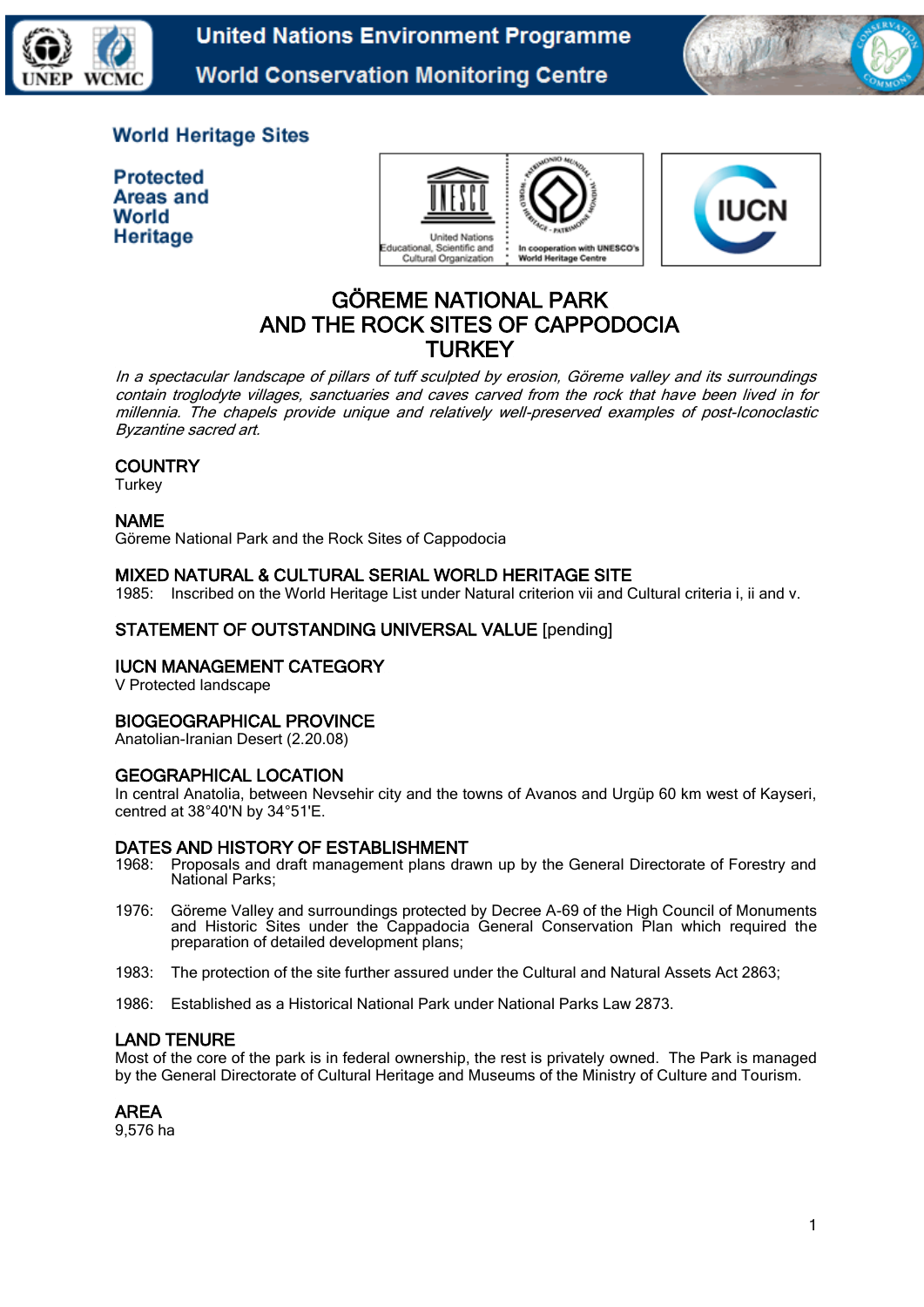

**United Nations Environment Programme World Conservation Monitoring Centre** 



## **World Heritage Sites**

**Protected** Areas and World Heritage





## GÖREME NATIONAL PARK AND THE ROCK SITES OF CAPPODOCIA **TURKEY**

In a spectacular landscape of pillars of tuff sculpted by erosion, Göreme valley and its surroundings contain troglodyte villages, sanctuaries and caves carved from the rock that have been lived in for millennia. The chapels provide unique and relatively well-preserved examples of post-Iconoclastic Byzantine sacred art.

#### **COUNTRY**

**Turkey** 

#### NAME

Göreme National Park and the Rock Sites of Cappodocia

#### MIXED NATURAL & CULTURAL SERIAL WORLD HERITAGE SITE

1985: Inscribed on the World Heritage List under Natural criterion vii and Cultural criteria i, ii and v.

#### STATEMENT OF OUTSTANDING UNIVERSAL VALUE [pending]

#### IUCN MANAGEMENT CATEGORY

V Protected landscape

#### BIOGEOGRAPHICAL PROVINCE

Anatolian-Iranian Desert (2.20.08)

#### GEOGRAPHICAL LOCATION

In central Anatolia, between Nevsehir city and the towns of Avanos and Urgüp 60 km west of Kayseri, centred at 38°40'N by 34°51'E.

# DATES AND HISTORY OF ESTABLISHMENT<br>1968 Proposals and draft management plans dra

- 1968: Proposals and draft management plans drawn up by the General Directorate of Forestry and National Parks;
- 1976: Göreme Valley and surroundings protected by Decree A-69 of the High Council of Monuments and Historic Sites under the Cappadocia General Conservation Plan which required the preparation of detailed development plans;
- 1983: The protection of the site further assured under the Cultural and Natural Assets Act 2863;
- 1986: Established as a Historical National Park under National Parks Law 2873.

#### LAND TENURE

Most of the core of the park is in federal ownership, the rest is privately owned. The Park is managed by the General Directorate of Cultural Heritage and Museums of the Ministry of Culture and Tourism.

## AREA

9,576 ha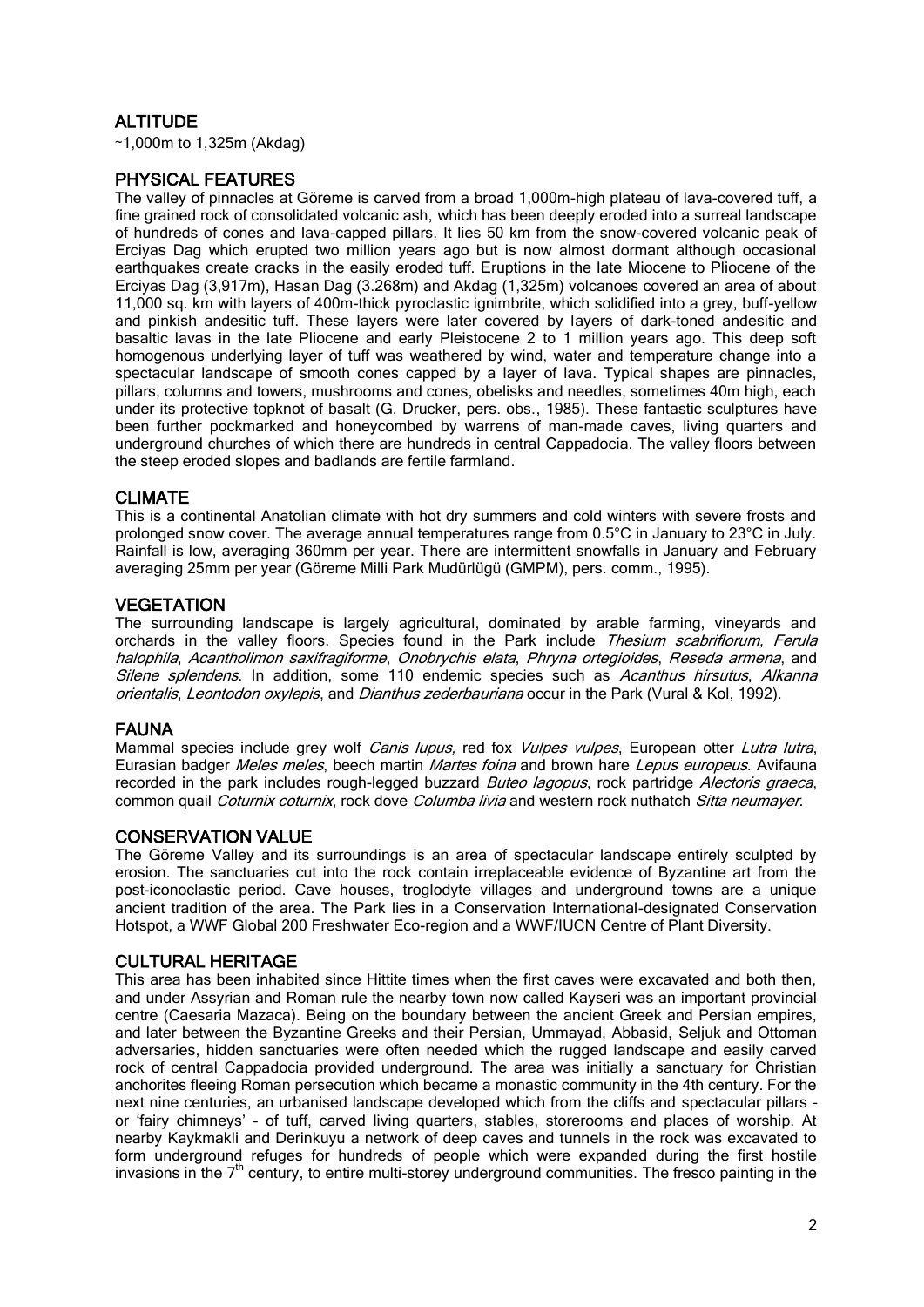## ALTITUDE

~1,000m to 1,325m (Akdag)

## PHYSICAL FEATURES

The valley of pinnacles at Göreme is carved from a broad 1,000m-high plateau of lava-covered tuff, a fine grained rock of consolidated volcanic ash, which has been deeply eroded into a surreal landscape of hundreds of cones and lava-capped pillars. It lies 50 km from the snow-covered volcanic peak of Erciyas Dag which erupted two million years ago but is now almost dormant although occasional earthquakes create cracks in the easily eroded tuff. Eruptions in the late Miocene to Pliocene of the Erciyas Dag (3,917m), Hasan Dag (3.268m) and Akdag (1,325m) volcanoes covered an area of about 11,000 sq. km with layers of 400m-thick pyroclastic ignimbrite, which solidified into a grey, buff-yellow and pinkish andesitic tuff. These layers were later covered by layers of dark-toned andesitic and basaltic lavas in the late Pliocene and early Pleistocene 2 to 1 million years ago. This deep soft homogenous underlying layer of tuff was weathered by wind, water and temperature change into a spectacular landscape of smooth cones capped by a layer of lava. Typical shapes are pinnacles, pillars, columns and towers, mushrooms and cones, obelisks and needles, sometimes 40m high, each under its protective topknot of basalt (G. Drucker, pers. obs., 1985). These fantastic sculptures have been further pockmarked and honeycombed by warrens of man-made caves, living quarters and underground churches of which there are hundreds in central Cappadocia. The valley floors between the steep eroded slopes and badlands are fertile farmland.

#### **CLIMATE**

This is a continental Anatolian climate with hot dry summers and cold winters with severe frosts and prolonged snow cover. The average annual temperatures range from 0.5°C in January to 23°C in July. Rainfall is low, averaging 360mm per year. There are intermittent snowfalls in January and February averaging 25mm per year (Göreme Milli Park Mudürlügü (GMPM), pers. comm., 1995).

#### **VEGETATION**

The surrounding landscape is largely agricultural, dominated by arable farming, vineyards and orchards in the valley floors. Species found in the Park include *Thesium scabriflorum, Ferula* halophila, Acantholimon saxifragiforme, Onobrychis elata, Phryna ortegioides, Reseda armena, and Silene splendens. In addition, some 110 endemic species such as Acanthus hirsutus, Alkanna orientalis, Leontodon oxylepis, and Dianthus zederbauriana occur in the Park (Vural & Kol, 1992).

#### FAUNA

Mammal species include grey wolf Canis lupus, red fox Vulpes vulpes, European otter Lutra lutra, Eurasian badger *Meles meles*, beech martin *Martes foina* and brown hare *Lepus europeus*. Avifauna recorded in the park includes rough-legged buzzard *Buteo lagopus*, rock partridge *Alectoris graeca*, common quail *Coturnix coturnix*, rock dove *Columba livia* and western rock nuthatch *Sitta neumayer*.

#### CONSERVATION VALUE

The Göreme Valley and its surroundings is an area of spectacular landscape entirely sculpted by erosion. The sanctuaries cut into the rock contain irreplaceable evidence of Byzantine art from the post-iconoclastic period. Cave houses, troglodyte villages and underground towns are a unique ancient tradition of the area. The Park lies in a Conservation International-designated Conservation Hotspot, a WWF Global 200 Freshwater Eco-region and a WWF/IUCN Centre of Plant Diversity.

#### CULTURAL HERITAGE

This area has been inhabited since Hittite times when the first caves were excavated and both then, and under Assyrian and Roman rule the nearby town now called Kayseri was an important provincial centre (Caesaria Mazaca). Being on the boundary between the ancient Greek and Persian empires, and later between the Byzantine Greeks and their Persian, Ummayad, Abbasid, Seljuk and Ottoman adversaries, hidden sanctuaries were often needed which the rugged landscape and easily carved rock of central Cappadocia provided underground. The area was initially a sanctuary for Christian anchorites fleeing Roman persecution which became a monastic community in the 4th century. For the next nine centuries, an urbanised landscape developed which from the cliffs and spectacular pillars – or 'fairy chimneys' - of tuff, carved living quarters, stables, storerooms and places of worship. At nearby Kaykmakli and Derinkuyu a network of deep caves and tunnels in the rock was excavated to form underground refuges for hundreds of people which were expanded during the first hostile invasions in the  $7<sup>th</sup>$  century, to entire multi-storey underground communities. The fresco painting in the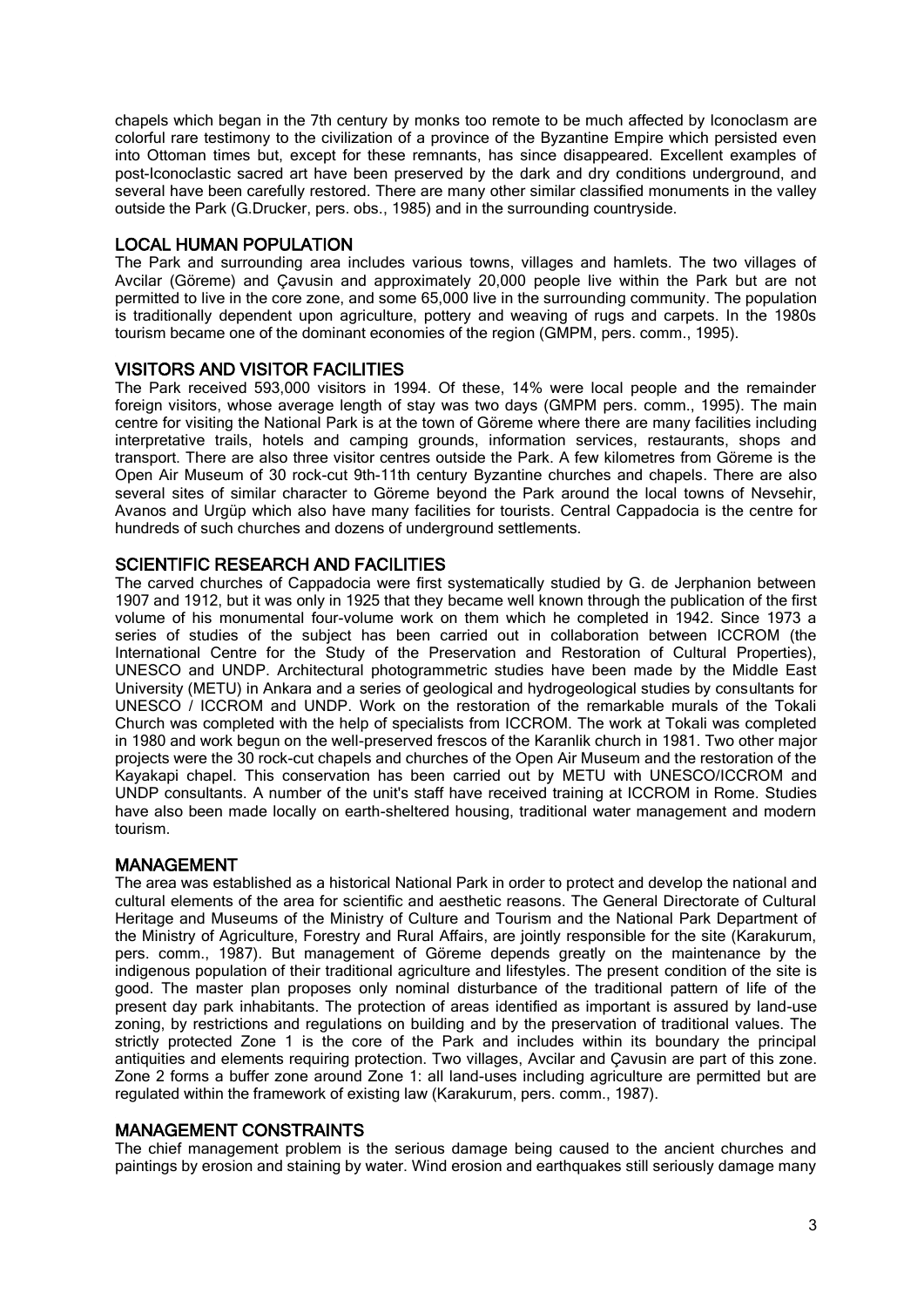chapels which began in the 7th century by monks too remote to be much affected by Iconoclasm are colorful rare testimony to the civilization of a province of the Byzantine Empire which persisted even into Ottoman times but, except for these remnants, has since disappeared. Excellent examples of post-Iconoclastic sacred art have been preserved by the dark and dry conditions underground, and several have been carefully restored. There are many other similar classified monuments in the valley outside the Park (G.Drucker, pers. obs., 1985) and in the surrounding countryside.

### LOCAL HUMAN POPULATION

The Park and surrounding area includes various towns, villages and hamlets. The two villages of Avcilar (Göreme) and Çavusin and approximately 20,000 people live within the Park but are not permitted to live in the core zone, and some 65,000 live in the surrounding community. The population is traditionally dependent upon agriculture, pottery and weaving of rugs and carpets. In the 1980s tourism became one of the dominant economies of the region (GMPM, pers. comm., 1995).

#### VISITORS AND VISITOR FACILITIES

The Park received 593,000 visitors in 1994. Of these, 14% were local people and the remainder foreign visitors, whose average length of stay was two days (GMPM pers. comm., 1995). The main centre for visiting the National Park is at the town of Göreme where there are many facilities including interpretative trails, hotels and camping grounds, information services, restaurants, shops and transport. There are also three visitor centres outside the Park. A few kilometres from Göreme is the Open Air Museum of 30 rock-cut 9th-11th century Byzantine churches and chapels. There are also several sites of similar character to Göreme beyond the Park around the local towns of Nevsehir, Avanos and Urgüp which also have many facilities for tourists. Central Cappadocia is the centre for hundreds of such churches and dozens of underground settlements.

#### SCIENTIFIC RESEARCH AND FACILITIES

The carved churches of Cappadocia were first systematically studied by G. de Jerphanion between 1907 and 1912, but it was only in 1925 that they became well known through the publication of the first volume of his monumental four-volume work on them which he completed in 1942. Since 1973 a series of studies of the subject has been carried out in collaboration between ICCROM (the International Centre for the Study of the Preservation and Restoration of Cultural Properties), UNESCO and UNDP. Architectural photogrammetric studies have been made by the Middle East University (METU) in Ankara and a series of geological and hydrogeological studies by consultants for UNESCO  $\ell$  ICCROM and UNDP. Work on the restoration of the remarkable murals of the Tokali Church was completed with the help of specialists from ICCROM. The work at Tokali was completed in 1980 and work begun on the well-preserved frescos of the Karanlik church in 1981. Two other major projects were the 30 rock-cut chapels and churches of the Open Air Museum and the restoration of the Kayakapi chapel. This conservation has been carried out by METU with UNESCO/ICCROM and UNDP consultants. A number of the unit's staff have received training at ICCROM in Rome. Studies have also been made locally on earth-sheltered housing, traditional water management and modern tourism.

## MANAGEMENT

The area was established as a historical National Park in order to protect and develop the national and cultural elements of the area for scientific and aesthetic reasons. The General Directorate of Cultural Heritage and Museums of the Ministry of Culture and Tourism and the National Park Department of the Ministry of Agriculture, Forestry and Rural Affairs, are jointly responsible for the site (Karakurum, pers. comm., 1987). But management of Göreme depends greatly on the maintenance by the indigenous population of their traditional agriculture and lifestyles. The present condition of the site is good. The master plan proposes only nominal disturbance of the traditional pattern of life of the present day park inhabitants. The protection of areas identified as important is assured by land-use zoning, by restrictions and regulations on building and by the preservation of traditional values. The strictly protected Zone 1 is the core of the Park and includes within its boundary the principal antiquities and elements requiring protection. Two villages, Avcilar and Çavusin are part of this zone. Zone 2 forms a buffer zone around Zone 1: all land-uses including agriculture are permitted but are regulated within the framework of existing law (Karakurum, pers. comm., 1987).

#### MANAGEMENT CONSTRAINTS

The chief management problem is the serious damage being caused to the ancient churches and paintings by erosion and staining by water. Wind erosion and earthquakes still seriously damage many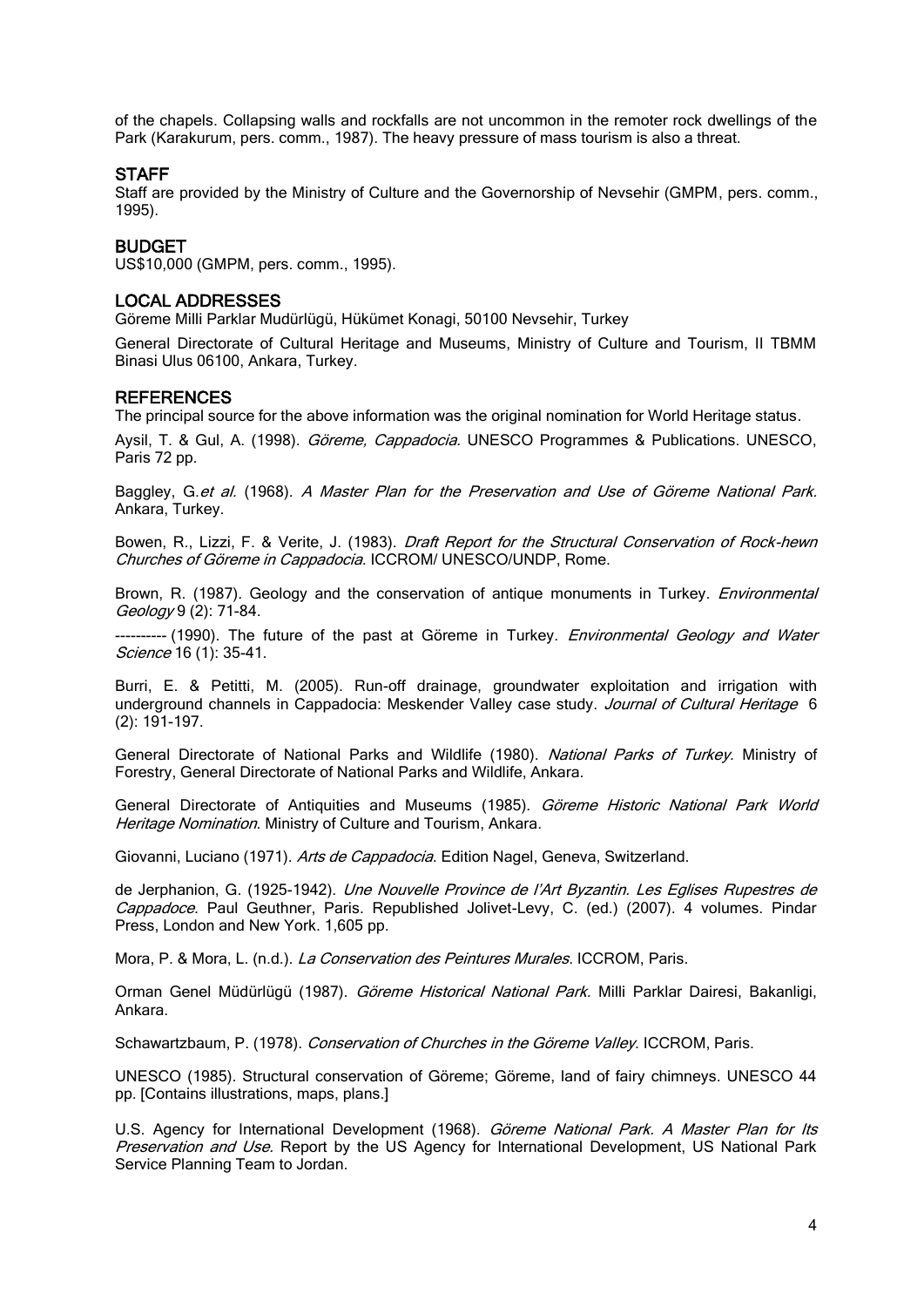of the chapels. Collapsing walls and rockfalls are not uncommon in the remoter rock dwellings of the Park (Karakurum, pers. comm., 1987). The heavy pressure of mass tourism is also a threat.

#### STAFF

Staff are provided by the Ministry of Culture and the Governorship of Nevsehir (GMPM, pers. comm., 1995).

#### BUDGET

US\$10,000 (GMPM, pers. comm., 1995).

#### LOCAL ADDRESSES

Göreme Milli Parklar Mudürlügü, Hükümet Konagi, 50100 Nevsehir, Turkey

General Directorate of Cultural Heritage and Museums, Ministry of Culture and Tourism, II TBMM Binasi Ulus 06100, Ankara, Turkey.

#### **REFERENCES**

The principal source for the above information was the original nomination for World Heritage status.

Aysil, T. & Gul, A. (1998). *Göreme, Cappadocia.* UNESCO Programmes & Publications. UNESCO, Paris 72 pp.

Baggley, G.et al. (1968). A Master Plan for the Preservation and Use of Göreme National Park. Ankara, Turkey.

Bowen, R., Lizzi, F. & Verite, J. (1983). Draft Report for the Structural Conservation of Rock-hewn Churches of Göreme in Cappadocia. ICCROM/ UNESCO/UNDP, Rome.

Brown, R. (1987). Geology and the conservation of antique monuments in Turkey. *Environmental* Geology 9 (2): 71-84.

--------- (1990). The future of the past at Göreme in Turkey. Environmental Geology and Water Science 16 (1): 35-41.

Burri, E. & Petitti, M. (2005). Run-off drainage, groundwater exploitation and irrigation with underground channels in Cappadocia: Meskender Valley case study. Journal of Cultural Heritage 6 (2): 191-197.

General Directorate of National Parks and Wildlife (1980). National Parks of Turkey. Ministry of Forestry, General Directorate of National Parks and Wildlife, Ankara.

General Directorate of Antiquities and Museums (1985). Göreme Historic National Park World Heritage Nomination. Ministry of Culture and Tourism, Ankara.

Giovanni, Luciano (1971). Arts de Cappadocia. Edition Nagel, Geneva, Switzerland.

de Jerphanion, G. (1925-1942). Une Nouvelle Province de l'Art Byzantin. Les Eglises Rupestres de Cappadoce. Paul Geuthner, Paris. Republished Jolivet-Levy, C. (ed.) (2007). 4 volumes. Pindar Press, London and New York. 1,605 pp.

Mora, P. & Mora, L. (n.d.). La Conservation des Peintures Murales. ICCROM, Paris.

Orman Genel Müdürlügü (1987). Göreme Historical National Park. Milli Parklar Dairesi, Bakanligi, Ankara.

Schawartzbaum, P. (1978). Conservation of Churches in the Göreme Valley. ICCROM, Paris.

UNESCO (1985). Structural conservation of Göreme; Göreme, land of fairy chimneys. UNESCO 44 pp. [Contains illustrations, maps, plans.]

U.S. Agency for International Development (1968). Göreme National Park. A Master Plan for Its Preservation and Use. Report by the US Agency for International Development, US National Park Service Planning Team to Jordan.